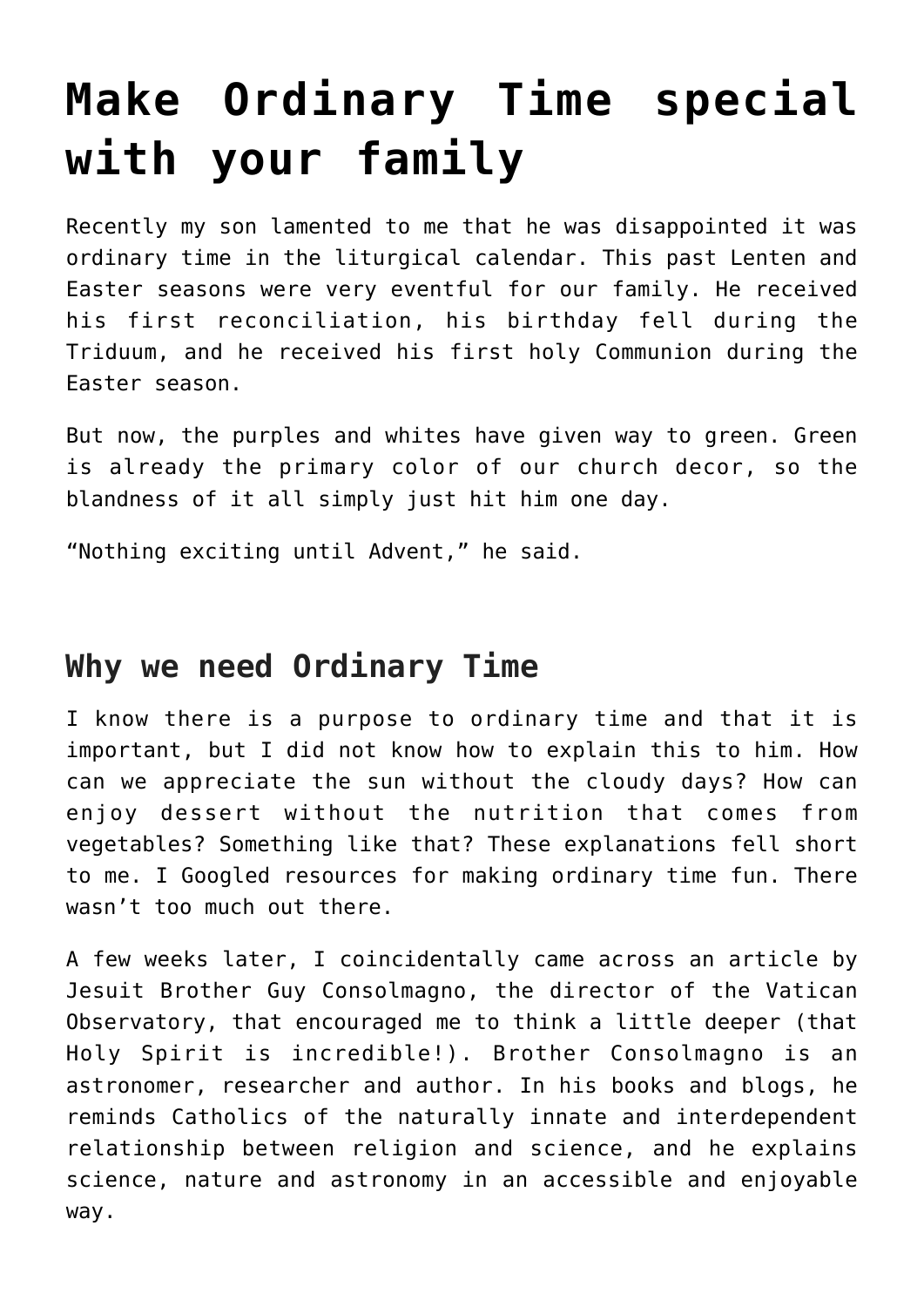# **[Make Ordinary Time special](https://www.teachingcatholickids.com/make-ordinary-time-special-with-your-family/) [with your family](https://www.teachingcatholickids.com/make-ordinary-time-special-with-your-family/)**

Recently my son lamented to me that he was disappointed it was ordinary time in the liturgical calendar. This past Lenten and Easter seasons were very eventful for our family. He received his first reconciliation, his birthday fell during the Triduum, and he received his first holy Communion during the Easter season.

But now, the purples and whites have given way to green. Green is already the primary color of our church decor, so the blandness of it all simply just hit him one day.

"Nothing exciting until Advent," he said.

# **Why we need Ordinary Time**

I know there is a purpose to ordinary time and that it is important, but I did not know how to explain this to him. How can we appreciate the sun without the cloudy days? How can enjoy dessert without the nutrition that comes from vegetables? Something like that? These explanations fell short to me. I Googled resources for making ordinary time fun. There wasn't too much out there.

A few weeks later, I coincidentally came across an article by Jesuit Brother Guy Consolmagno, the director of the Vatican Observatory, that encouraged me to think a little deeper (that Holy Spirit is incredible!). Brother Consolmagno is an astronomer, researcher and author. In his books and blogs, he reminds Catholics of the naturally innate and interdependent relationship between religion and science, and he explains science, nature and astronomy in an accessible and enjoyable way.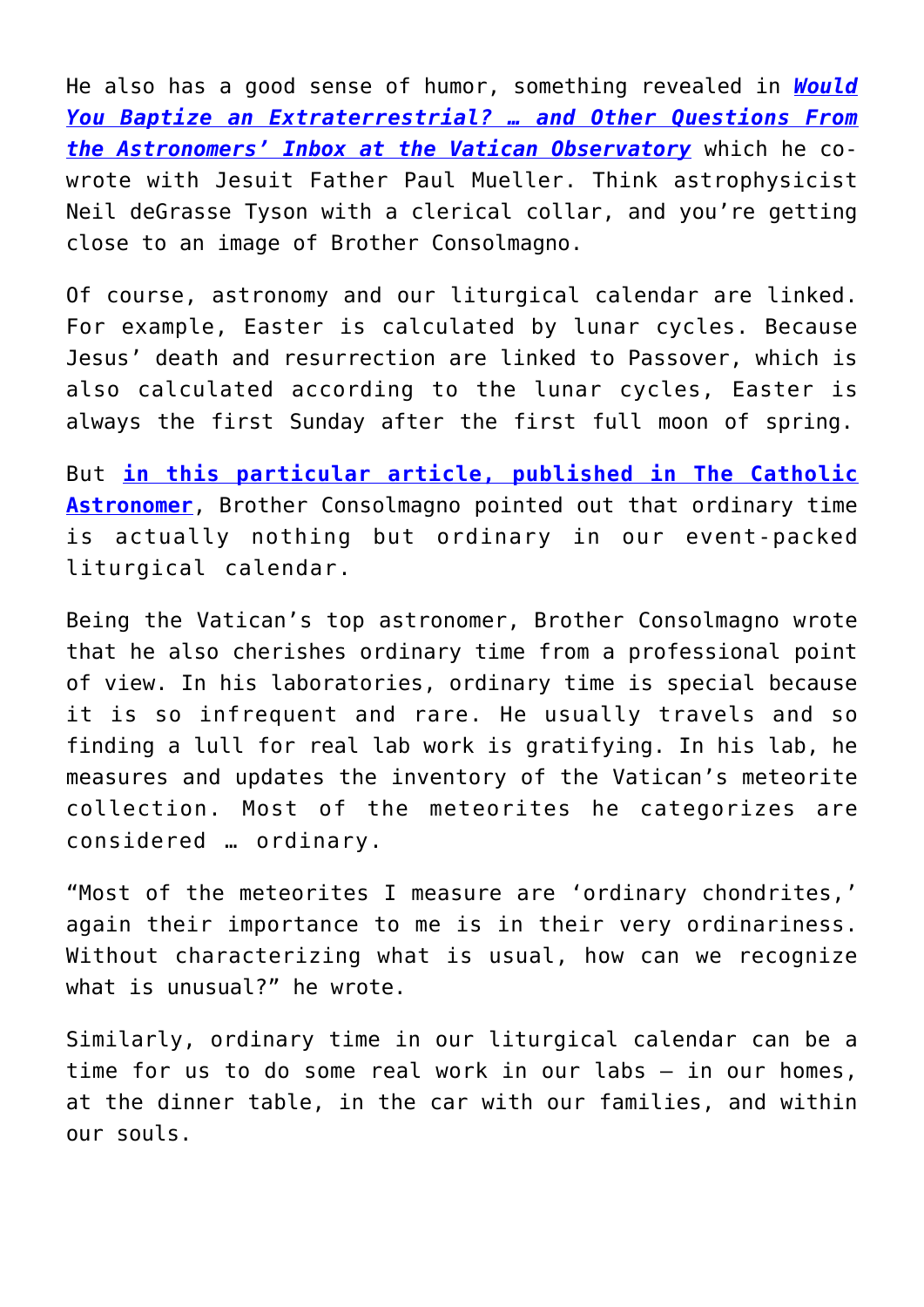He also has a good sense of humor, something revealed in *[Would](https://www.amazon.com/Would-You-Baptize-Extraterrestrial-box/dp/0804136955) [You Baptize an Extraterrestrial? … and Other Questions From](https://www.amazon.com/Would-You-Baptize-Extraterrestrial-box/dp/0804136955) [the Astronomers' Inbox at the Vatican Observatory](https://www.amazon.com/Would-You-Baptize-Extraterrestrial-box/dp/0804136955)* which he cowrote with Jesuit Father Paul Mueller. Think astrophysicist Neil deGrasse Tyson with a clerical collar, and you're getting close to an image of Brother Consolmagno.

Of course, astronomy and our liturgical calendar are linked. For example, Easter is calculated by lunar cycles. Because Jesus' death and resurrection are linked to Passover, which is also calculated according to the lunar cycles, Easter is always the first Sunday after the first full moon of spring.

But **[in this particular article, published in The Catholic](https://www.vofoundation.org/blog/across-the-universe-ordinary-time/) [Astronomer](https://www.vofoundation.org/blog/across-the-universe-ordinary-time/)**, Brother Consolmagno pointed out that ordinary time is actually nothing but ordinary in our event-packed liturgical calendar.

Being the Vatican's top astronomer, Brother Consolmagno wrote that he also cherishes ordinary time from a professional point of view. In his laboratories, ordinary time is special because it is so infrequent and rare. He usually travels and so finding a lull for real lab work is gratifying. In his lab, he measures and updates the inventory of the Vatican's meteorite collection. Most of the meteorites he categorizes are considered … ordinary.

"Most of the meteorites I measure are 'ordinary chondrites,' again their importance to me is in their very ordinariness. Without characterizing what is usual, how can we recognize what is unusual?" he wrote.

Similarly, ordinary time in our liturgical calendar can be a time for us to do some real work in our labs — in our homes, at the dinner table, in the car with our families, and within our souls.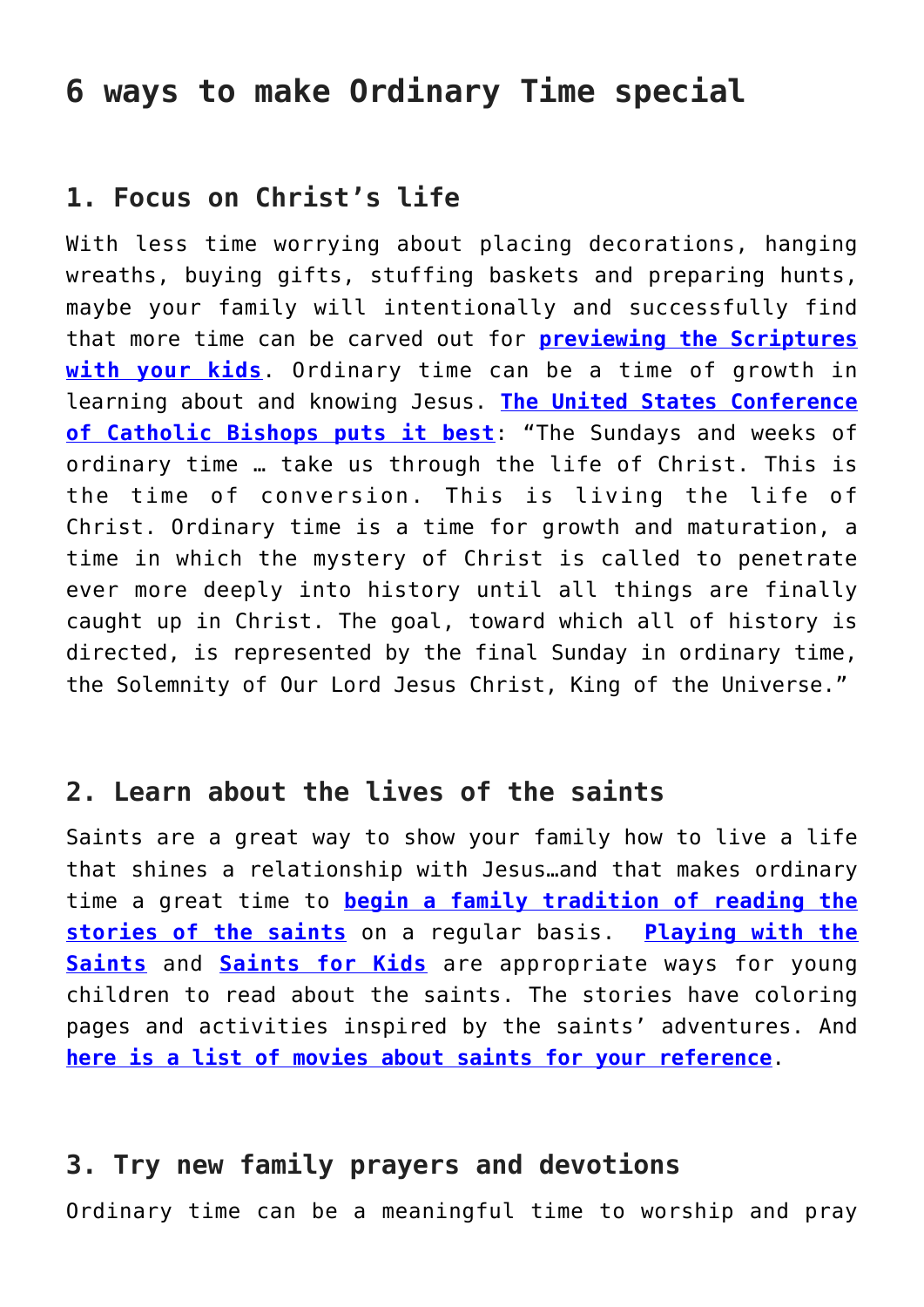## **6 ways to make Ordinary Time special**

## **1. Focus on Christ's life**

With less time worrying about placing decorations, hanging wreaths, buying gifts, stuffing baskets and preparing hunts, maybe your family will intentionally and successfully find that more time can be carved out for **[previewing the Scriptures](http://pbgrace.com/author/jschlameussperry/) [with your kids](http://pbgrace.com/author/jschlameussperry/)**. Ordinary time can be a time of growth in learning about and knowing Jesus. **[The United States Conference](http://www.usccb.org/prayer-and-worship/liturgical-year/ordinary-time.cfm) [of Catholic Bishops puts it best](http://www.usccb.org/prayer-and-worship/liturgical-year/ordinary-time.cfm)**: "The Sundays and weeks of ordinary time … take us through the life of Christ. This is the time of conversion. This is living the life of Christ. Ordinary time is a time for growth and maturation, a time in which the mystery of Christ is called to penetrate ever more deeply into history until all things are finally caught up in Christ. The goal, toward which all of history is directed, is represented by the final Sunday in ordinary time, the Solemnity of Our Lord Jesus Christ, King of the Universe."

#### **2. Learn about the lives of the saints**

Saints are a great way to show your family how to live a life that shines a relationship with Jesus…and that makes ordinary time a great time to **[begin a family tradition of reading the](http://pbgrace.com/stories-of-the-saints/) [stories of the saints](http://pbgrace.com/stories-of-the-saints/)** on a regular basis. **[Playing with the](http://pbgrace.com/category/storytellers/playing-with-the-saints/) [Saints](http://pbgrace.com/category/storytellers/playing-with-the-saints/)** and **[Saints for Kids](http://pbgrace.com/category/saints-for-kids/)** are appropriate ways for young children to read about the saints. The stories have coloring pages and activities inspired by the saints' adventures. And **[here is a list of movies about saints for your reference](https://www.loyolapress.com/our-catholic-faith/prayer/arts-and-faith/film/saints-on-the-screen-by-james-martin-sj)**.

#### **3. Try new family prayers and devotions**

Ordinary time can be a meaningful time to worship and pray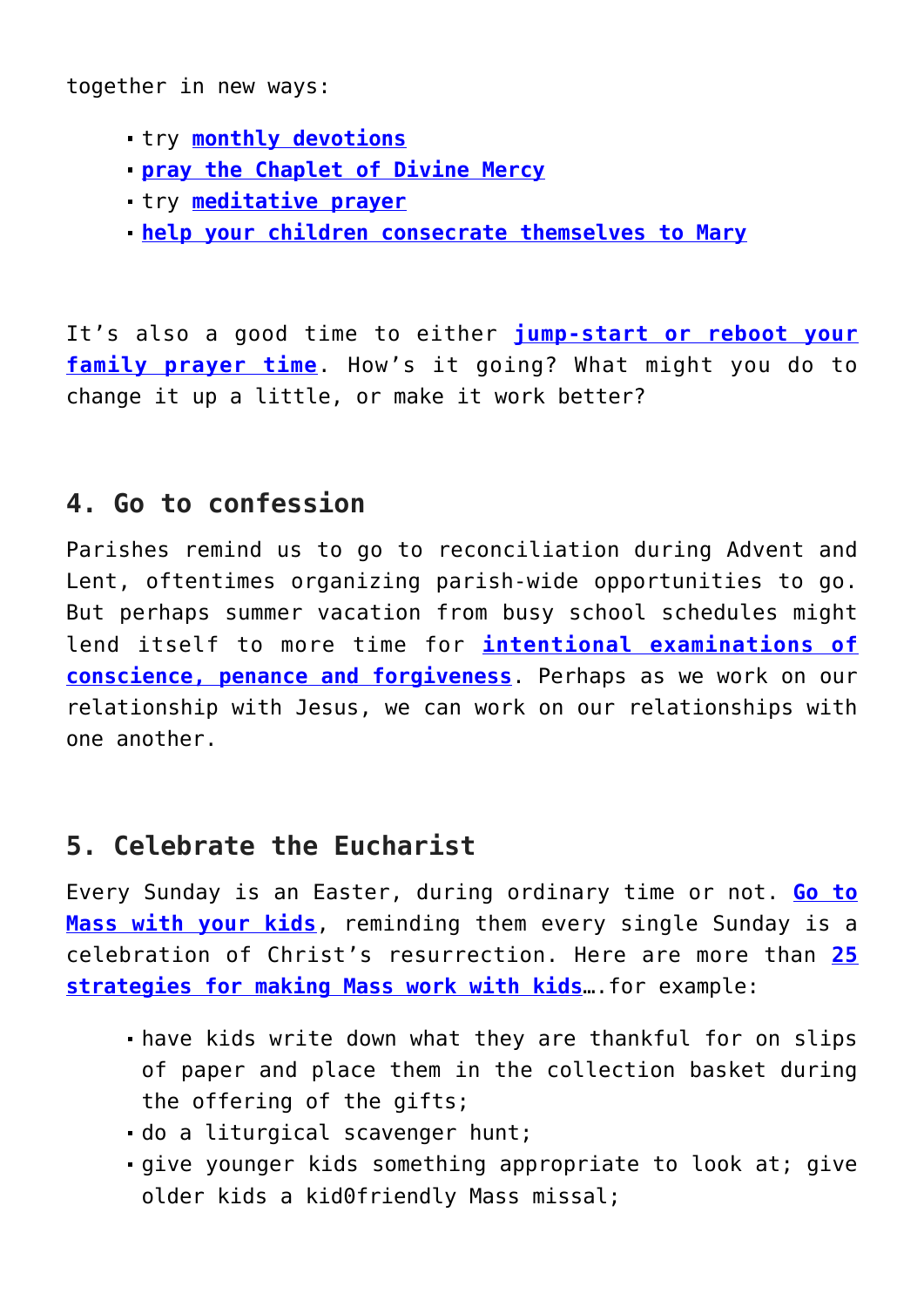together in new ways:

- try **[monthly devotions](http://pbgrace.com/category/monthly-devotions/)**
- **[pray the Chaplet of Divine Mercy](http://pbgrace.com/the-chaplet-of-divine-mercy-prayers-for-catholic-kids/)**
- try **[meditative prayer](http://pbgrace.com/meditative-prayer-for-catholic-kids/)**
- **[help your children consecrate themselves to Mary](http://pbgrace.com/why-and-how-to-help-your-children-consecrate-themselves-to-mary/)**

It's also a good time to either **[jump-start or reboot your](http://pbgrace.com/family-prayer-time/) [family prayer time](http://pbgrace.com/family-prayer-time/)**. How's it going? What might you do to change it up a little, or make it work better?

## **4. Go to confession**

Parishes remind us to go to reconciliation during Advent and Lent, oftentimes organizing parish-wide opportunities to go. But perhaps summer vacation from busy school schedules might lend itself to more time for **[intentional examinations of](http://pbgrace.com/help-kids-prepare-for-confession-with-an-examination-of-conscience/) [conscience, penance and forgiveness](http://pbgrace.com/help-kids-prepare-for-confession-with-an-examination-of-conscience/)**. Perhaps as we work on our relationship with Jesus, we can work on our relationships with one another.

## **5. Celebrate the Eucharist**

Every Sunday is an Easter, during ordinary time or not. **[Go to](http://pbgrace.com/how-do-i-explain-to-my-kids-why-we-have-to-go-to-mass-every-sunday-brick-by-brick-by-father-brooke/) [Mass with your kids](http://pbgrace.com/how-do-i-explain-to-my-kids-why-we-have-to-go-to-mass-every-sunday-brick-by-brick-by-father-brooke/)**, reminding them every single Sunday is a celebration of Christ's resurrection. Here are more than **[25](http://pbgrace.com/doing-mass-with-kids/) [strategies for making Mass work with kids](http://pbgrace.com/doing-mass-with-kids/)**….for example:

- have kids write down what they are thankful for on slips of paper and place them in the collection basket during the offering of the gifts;
- do a liturgical scavenger hunt;
- give younger kids something appropriate to look at; give older kids a kid0friendly Mass missal;